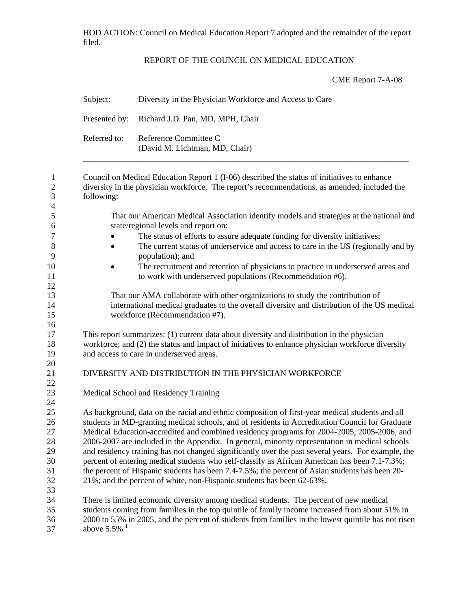HOD ACTION: Council on Medical Education Report 7 adopted and the remainder of the report filed.

## REPORT OF THE COUNCIL ON MEDICAL EDUCATION

CME Report 7-A-08

| Subject:                   | Diversity in the Physician Workforce and Access to Care<br>Richard J.D. Pan, MD, MPH, Chair<br>Reference Committee C<br>(David M. Lichtman, MD, Chair)                                                          |  |  |  |  |  |
|----------------------------|-----------------------------------------------------------------------------------------------------------------------------------------------------------------------------------------------------------------|--|--|--|--|--|
| Presented by:              |                                                                                                                                                                                                                 |  |  |  |  |  |
| Referred to:               |                                                                                                                                                                                                                 |  |  |  |  |  |
| following:                 | Council on Medical Education Report 1 (I-06) described the status of initiatives to enhance<br>diversity in the physician workforce. The report's recommendations, as amended, included the                     |  |  |  |  |  |
|                            | That our American Medical Association identify models and strategies at the national and<br>state/regional levels and report on:                                                                                |  |  |  |  |  |
|                            | The status of efforts to assure adequate funding for diversity initiatives;                                                                                                                                     |  |  |  |  |  |
| $\bullet$                  | The current status of underservice and access to care in the US (regionally and by<br>population); and                                                                                                          |  |  |  |  |  |
|                            | The recruitment and retention of physicians to practice in underserved areas and<br>to work with underserved populations (Recommendation #6).                                                                   |  |  |  |  |  |
|                            | That our AMA collaborate with other organizations to study the contribution of<br>international medical graduates to the overall diversity and distribution of the US medical<br>workforce (Recommendation #7). |  |  |  |  |  |
|                            | This report summarizes: (1) current data about diversity and distribution in the physician                                                                                                                      |  |  |  |  |  |
|                            | workforce; and (2) the status and impact of initiatives to enhance physician workforce diversity<br>and access to care in underserved areas.                                                                    |  |  |  |  |  |
|                            | DIVERSITY AND DISTRIBUTION IN THE PHYSICIAN WORKFORCE                                                                                                                                                           |  |  |  |  |  |
|                            | <b>Medical School and Residency Training</b>                                                                                                                                                                    |  |  |  |  |  |
|                            | As background, data on the racial and ethnic composition of first-year medical students and all<br>students in MD-granting medical schools, and of residents in Accreditation Council for Graduate              |  |  |  |  |  |
|                            | Medical Education-accredited and combined residency programs for 2004-2005, 2005-2006, and                                                                                                                      |  |  |  |  |  |
|                            | 2006-2007 are included in the Appendix. In general, minority representation in medical schools<br>and residency training has not changed significantly over the past several years. For example, the            |  |  |  |  |  |
|                            | percent of entering medical students who self-classify as African American has been 7.1-7.3%;                                                                                                                   |  |  |  |  |  |
|                            | the percent of Hispanic students has been 7.4-7.5%; the percent of Asian students has been 20-                                                                                                                  |  |  |  |  |  |
|                            | 21%; and the percent of white, non-Hispanic students has been 62-63%.                                                                                                                                           |  |  |  |  |  |
|                            | There is limited economic diversity among medical students. The percent of new medical                                                                                                                          |  |  |  |  |  |
| above $5.5\%$ <sup>1</sup> | students coming from families in the top quintile of family income increased from about 51% in<br>2000 to 55% in 2005, and the percent of students from families in the lowest quintile has not risen           |  |  |  |  |  |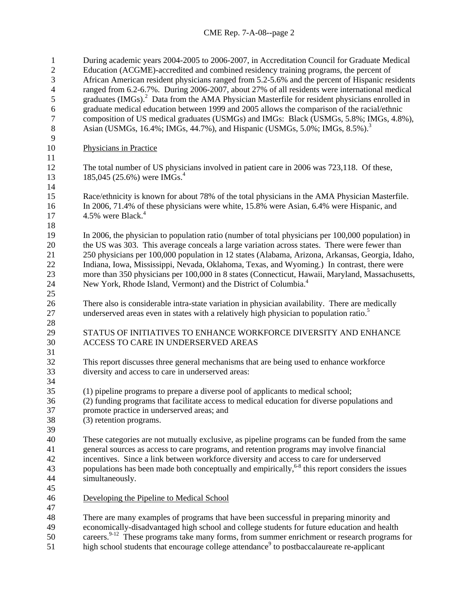| $\mathbf{1}$     | During academic years 2004-2005 to 2006-2007, in Accreditation Council for Graduate Medical               |
|------------------|-----------------------------------------------------------------------------------------------------------|
| $\overline{c}$   | Education (ACGME)-accredited and combined residency training programs, the percent of                     |
| 3                | African American resident physicians ranged from 5.2-5.6% and the percent of Hispanic residents           |
| $\overline{4}$   | ranged from 6.2-6.7%. During 2006-2007, about 27% of all residents were international medical             |
| 5                | graduates (IMGs). <sup>2</sup> Data from the AMA Physician Masterfile for resident physicians enrolled in |
| $\boldsymbol{6}$ | graduate medical education between 1999 and 2005 allows the comparison of the racial/ethnic               |
| $\boldsymbol{7}$ | composition of US medical graduates (USMGs) and IMGs: Black (USMGs, 5.8%; IMGs, 4.8%),                    |
| $8\,$            | Asian (USMGs, 16.4%; IMGs, 44.7%), and Hispanic (USMGs, 5.0%; IMGs, 8.5%). <sup>3</sup>                   |
| 9                |                                                                                                           |
| 10               | <b>Physicians in Practice</b>                                                                             |
| 11               |                                                                                                           |
| 12               | The total number of US physicians involved in patient care in 2006 was 723,118. Of these,                 |
| 13               | 185,045 (25.6%) were IMGs. <sup>4</sup>                                                                   |
| 14               |                                                                                                           |
| 15               | Race/ethnicity is known for about 78% of the total physicians in the AMA Physician Masterfile.            |
| 16               | In 2006, 71.4% of these physicians were white, 15.8% were Asian, 6.4% were Hispanic, and                  |
| 17               | 4.5% were Black. <sup>4</sup>                                                                             |
| 18               |                                                                                                           |
| 19               | In 2006, the physician to population ratio (number of total physicians per 100,000 population) in         |
| 20               | the US was 303. This average conceals a large variation across states. There were fewer than              |
| 21               | 250 physicians per 100,000 population in 12 states (Alabama, Arizona, Arkansas, Georgia, Idaho,           |
| 22               | Indiana, Iowa, Mississippi, Nevada, Oklahoma, Texas, and Wyoming.) In contrast, there were                |
| 23               | more than 350 physicians per 100,000 in 8 states (Connecticut, Hawaii, Maryland, Massachusetts,           |
| 24               | New York, Rhode Island, Vermont) and the District of Columbia. <sup>4</sup>                               |
| 25               |                                                                                                           |
| 26               | There also is considerable intra-state variation in physician availability. There are medically           |
| 27               | underserved areas even in states with a relatively high physician to population ratio. <sup>5</sup>       |
| 28               |                                                                                                           |
| 29               | STATUS OF INITIATIVES TO ENHANCE WORKFORCE DIVERSITY AND ENHANCE                                          |
| 30               | ACCESS TO CARE IN UNDERSERVED AREAS                                                                       |
| 31               |                                                                                                           |
| 32               | This report discusses three general mechanisms that are being used to enhance workforce                   |
| 33               | diversity and access to care in underserved areas:                                                        |
| 34               |                                                                                                           |
| 35               | (1) pipeline programs to prepare a diverse pool of applicants to medical school;                          |
| 36               | (2) funding programs that facilitate access to medical education for diverse populations and              |
| 37               | promote practice in underserved areas; and                                                                |
| 38               | (3) retention programs.                                                                                   |
| 39               |                                                                                                           |
| 40               | These categories are not mutually exclusive, as pipeline programs can be funded from the same             |
| 41               | general sources as access to care programs, and retention programs may involve financial                  |
| 42               | incentives. Since a link between workforce diversity and access to care for underserved                   |
| 43               | populations has been made both conceptually and empirically, $68$ this report considers the issues        |
| 44               | simultaneously.                                                                                           |
|                  |                                                                                                           |
| 45               |                                                                                                           |
| 46               | Developing the Pipeline to Medical School                                                                 |
| 47               |                                                                                                           |
| 48               | There are many examples of programs that have been successful in preparing minority and                   |
| 49               | economically-disadvantaged high school and college students for future education and health               |
| 50               | careers. <sup>9-12</sup> These programs take many forms, from summer enrichment or research programs for  |
| 51               | high school students that encourage college attendance <sup>9</sup> to postbaccalaureate re-applicant     |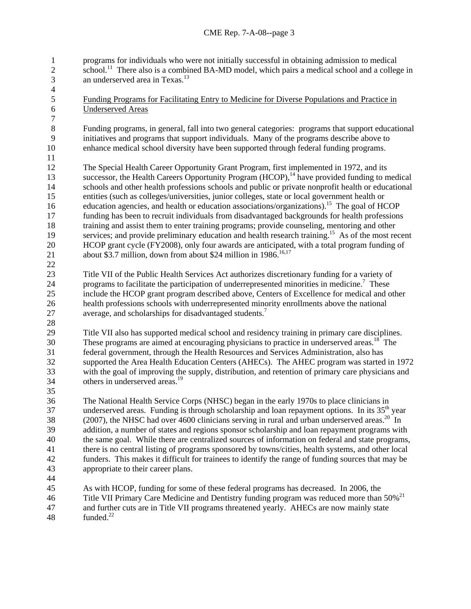programs for individuals who were not initially successful in obtaining admission to medical  $\frac{1}{11}$  There also is a combined BA-MD model, which pairs a medical school and a college in 1 2 3 an underserved area in Texas.13

5 Funding Programs for Facilitating Entry to Medicine for Diverse Populations and Practice in 6 Underserved Areas

Funding programs, in general, fall into two general categories: programs that support educational initiatives and programs that support individuals. Many of the programs describe above to enhance medical school diversity have been supported through federal funding programs.

12 13 14 15 16 17 18 19 20 21 22 The Special Health Career Opportunity Grant Program, first implemented in 1972, and its successor, the Health Careers Opportunity Program  $(HCOP)$ ,<sup>14</sup> have provided funding to medical schools and other health professions schools and public or private nonprofit health or educational entities (such as colleges/universities, junior colleges, state or local government health or education agencies, and health or education associations/organizations).<sup>15</sup> The goal of HCOP funding has been to recruit individuals from disadvantaged backgrounds for health professions training and assist them to enter training programs; provide counseling, mentoring and other services; and provide preliminary education and health research training.<sup>15</sup> As of the most recent HCOP grant cycle (FY2008), only four awards are anticipated, with a total program funding of about \$3.7 million, down from about \$24 million in  $1986$ <sup>16,17</sup>

23 24 25 26 27 Title VII of the Public Health Services Act authorizes discretionary funding for a variety of programs to facilitate the participation of underrepresented minorities in medicine.<sup>7</sup> These include the HCOP grant program described above, Centers of Excellence for medical and other health professions schools with underrepresented minority enrollments above the national average, and scholarships for disadvantaged students.<sup>7</sup>

29 30 31 32 33 34 Title VII also has supported medical school and residency training in primary care disciplines. These programs are aimed at encouraging physicians to practice in underserved areas.<sup>18</sup> The federal government, through the Health Resources and Services Administration, also has supported the Area Health Education Centers (AHECs). The AHEC program was started in 1972 with the goal of improving the supply, distribution, and retention of primary care physicians and others in underserved areas.<sup>19</sup>

36 37 38 39 40 41 42 43 The National Health Service Corps (NHSC) began in the early 1970s to place clinicians in underserved areas. Funding is through scholarship and loan repayment options. In its  $35<sup>th</sup>$  year (2007), the NHSC had over 4600 clinicians serving in rural and urban underserved areas.<sup>20</sup> In addition, a number of states and regions sponsor scholarship and loan repayment programs with the same goal. While there are centralized sources of information on federal and state programs, there is no central listing of programs sponsored by towns/cities, health systems, and other local funders. This makes it difficult for trainees to identify the range of funding sources that may be appropriate to their career plans.

44

28

35

4

45 46 47 48 As with HCOP, funding for some of these federal programs has decreased. In 2006, the Title VII Primary Care Medicine and Dentistry funding program was reduced more than  $50\%$ <sup>21</sup> and further cuts are in Title VII programs threatened yearly. AHECs are now mainly state funded. $^{22}$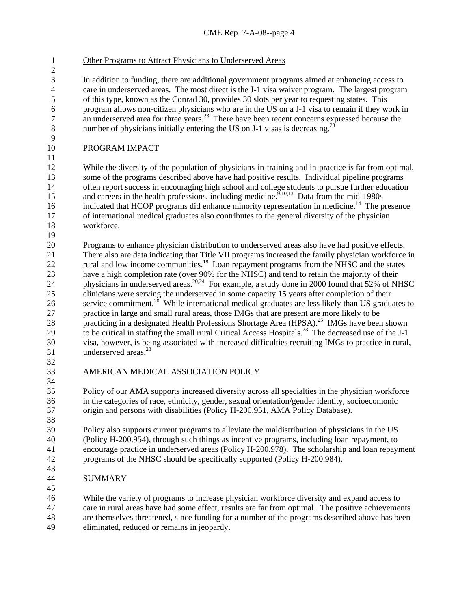1 Other Programs to Attract Physicians to Underserved Areas

In addition to funding, there are additional government programs aimed at enhancing access to care in underserved areas. The most direct is the J-1 visa waiver program. The largest program of this type, known as the Conrad 30, provides 30 slots per year to requesting states. This program allows non-citizen physicians who are in the US on a J-1 visa to remain if they work in an underserved area for three years.<sup>23</sup> There have been recent concerns expressed because the number of physicians initially entering the US on J-1 visas is decreasing.<sup>23</sup>

10 PROGRAM IMPACT

12 13 14 15 16 17 18 While the diversity of the population of physicians-in-training and in-practice is far from optimal, some of the programs described above have had positive results. Individual pipeline programs often report success in encouraging high school and college students to pursue further education and careers in the health professions, including medicine.<sup>9,10,13</sup> Data from the mid-1980s indicated that HCOP programs did enhance minority representation in medicine.<sup>14</sup> The presence of international medical graduates also contributes to the general diversity of the physician workforce.

20 21 22 23 24 25 26 27 28 29 30 31 Programs to enhance physician distribution to underserved areas also have had positive effects. There also are data indicating that Title VII programs increased the family physician workforce in rural and low income communities.<sup>18</sup> Loan repayment programs from the NHSC and the states have a high completion rate (over 90% for the NHSC) and tend to retain the majority of their physicians in underserved areas.<sup>20,24</sup> For example, a study done in 2000 found that 52% of NHSC clinicians were serving the underserved in some capacity 15 years after completion of their service commitment.<sup>20</sup> While international medical graduates are less likely than US graduates to practice in large and small rural areas, those IMGs that are present are more likely to be practicing in a designated Health Professions Shortage Area (HPSA).<sup>25</sup> IMGs have been shown to be critical in staffing the small rural Critical Access Hospitals.<sup>23</sup> The decreased use of the J-1 visa, however, is being associated with increased difficulties recruiting IMGs to practice in rural, underserved areas. $^{23}$ 

32 33

34

38

45

11

19

AMERICAN MEDICAL ASSOCIATION POLICY

35 36 37 Policy of our AMA supports increased diversity across all specialties in the physician workforce in the categories of race, ethnicity, gender, sexual orientation/gender identity, socioecomonic origin and persons with disabilities (Policy H-200.951, AMA Policy Database).

39 40 41 42 43 Policy also supports current programs to alleviate the maldistribution of physicians in the US (Policy H-200.954), through such things as incentive programs, including loan repayment, to encourage practice in underserved areas (Policy H-200.978). The scholarship and loan repayment programs of the NHSC should be specifically supported (Policy H-200.984).

44 SUMMARY

46 47 48 49 While the variety of programs to increase physician workforce diversity and expand access to care in rural areas have had some effect, results are far from optimal. The positive achievements are themselves threatened, since funding for a number of the programs described above has been eliminated, reduced or remains in jeopardy.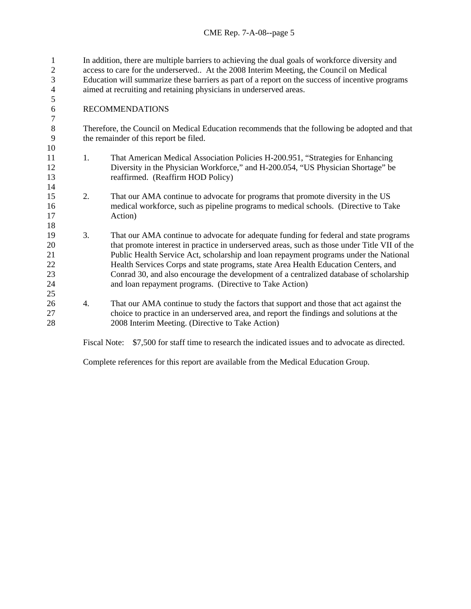In addition, there are multiple barriers to achieving the dual goals of workforce diversity and access to care for the underserved.. At the 2008 Interim Meeting, the Council on Medical Education will summarize these barriers as part of a report on the success of incentive programs aimed at recruiting and retaining physicians in underserved areas. 1  $\mathcal{L}$ 3 4 5

## 6 RECOMMENDATIONS

14

18

25

Therefore, the Council on Medical Education recommends that the following be adopted and that the remainder of this report be filed.

- 11 12 13 1. That American Medical Association Policies H-200.951, "Strategies for Enhancing Diversity in the Physician Workforce," and H-200.054, "US Physician Shortage" be reaffirmed. (Reaffirm HOD Policy)
- 15 16 17 2. That our AMA continue to advocate for programs that promote diversity in the US medical workforce, such as pipeline programs to medical schools. (Directive to Take Action)
- 19 20 21 22 23 24 3. That our AMA continue to advocate for adequate funding for federal and state programs that promote interest in practice in underserved areas, such as those under Title VII of the Public Health Service Act, scholarship and loan repayment programs under the National Health Services Corps and state programs, state Area Health Education Centers, and Conrad 30, and also encourage the development of a centralized database of scholarship and loan repayment programs. (Directive to Take Action)
- 26 27 28 4. That our AMA continue to study the factors that support and those that act against the choice to practice in an underserved area, and report the findings and solutions at the 2008 Interim Meeting. (Directive to Take Action)

Fiscal Note: \$7,500 for staff time to research the indicated issues and to advocate as directed.

Complete references for this report are available from the Medical Education Group.